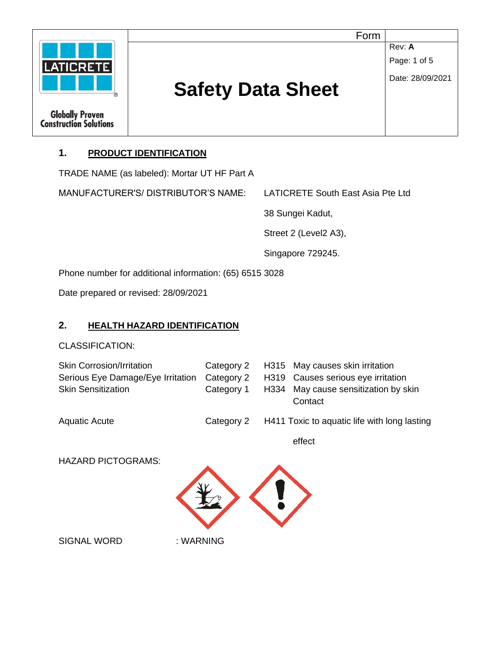

### **1. PRODUCT IDENTIFICATION**

TRADE NAME (as labeled): Mortar UT HF Part A

MANUFACTURER'S/ DISTRIBUTOR'S NAME: LATICRETE South East Asia Pte Ltd

38 Sungei Kadut,

Street 2 (Level2 A3),

Singapore 729245.

Phone number for additional information: (65) 6515 3028

Date prepared or revised: 28/09/2021

### **2. HEALTH HAZARD IDENTIFICATION**

CLASSIFICATION:

| <b>Skin Corrosion/Irritation</b>  | Category 2 |        | H315 May causes skin irritation                 |
|-----------------------------------|------------|--------|-------------------------------------------------|
| Serious Eye Damage/Eye Irritation | Category 2 |        | H319 Causes serious eye irritation              |
| <b>Skin Sensitization</b>         | Category 1 |        | H334 May cause sensitization by skin<br>Contact |
| <b>Aquatic Acute</b>              | Category 2 |        | H411 Toxic to aquatic life with long lasting    |
|                                   |            | effect |                                                 |

HAZARD PICTOGRAMS:



SIGNAL WORD : WARNING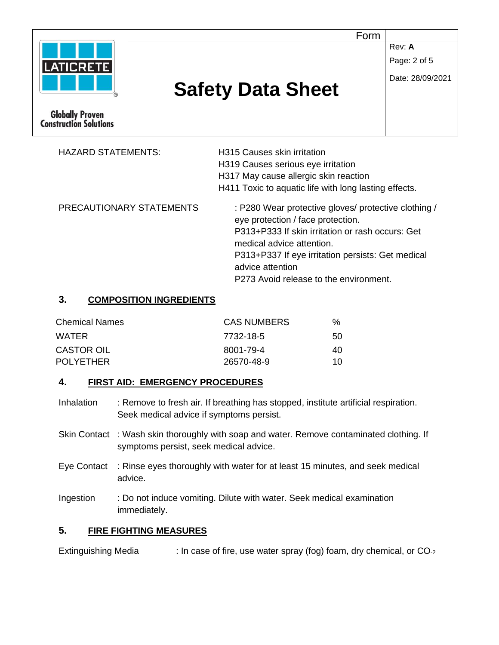

| <b>HAZARD STATEMENTS:</b> | H315 Causes skin irritation                                                                                                                                                                                                                         |  |
|---------------------------|-----------------------------------------------------------------------------------------------------------------------------------------------------------------------------------------------------------------------------------------------------|--|
|                           | H319 Causes serious eye irritation                                                                                                                                                                                                                  |  |
|                           | H317 May cause allergic skin reaction                                                                                                                                                                                                               |  |
|                           | H411 Toxic to aquatic life with long lasting effects.                                                                                                                                                                                               |  |
| PRECAUTIONARY STATEMENTS  | : P280 Wear protective gloves/ protective clothing /<br>eye protection / face protection.<br>P313+P333 If skin irritation or rash occurs: Get<br>medical advice attention.<br>P313+P337 If eye irritation persists: Get medical<br>advice attention |  |
|                           | P273 Avoid release to the environment.                                                                                                                                                                                                              |  |

#### **3. COMPOSITION INGREDIENTS**

| <b>Chemical Names</b> | <b>CAS NUMBERS</b> | %  |
|-----------------------|--------------------|----|
| WATER                 | 7732-18-5          | 50 |
| <b>CASTOR OIL</b>     | 8001-79-4          | 40 |
| <b>POLYETHER</b>      | 26570-48-9         | 10 |

### **4. FIRST AID: EMERGENCY PROCEDURES**

- Inhalation : Remove to fresh air. If breathing has stopped, institute artificial respiration. Seek medical advice if symptoms persist.
- Skin Contact : Wash skin thoroughly with soap and water. Remove contaminated clothing. If symptoms persist, seek medical advice.
- Eye Contact : Rinse eyes thoroughly with water for at least 15 minutes, and seek medical advice.
- Ingestion : Do not induce vomiting. Dilute with water. Seek medical examination immediately.

### **5. FIRE FIGHTING MEASURES**

Extinguishing Media : In case of fire, use water spray (fog) foam, dry chemical, or CO<sub>-2</sub>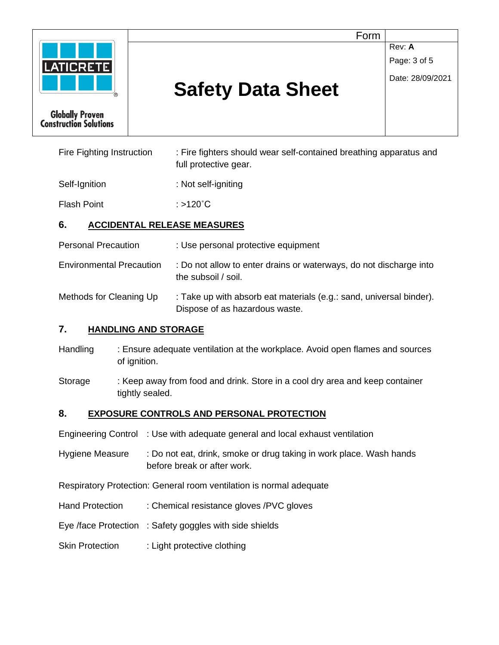

Fire Fighting Instruction : Fire fighters should wear self-contained breathing apparatus and full protective gear.

Self-Ignition : Not self-igniting

Flash Point : >120°C

# **6. ACCIDENTAL RELEASE MEASURES**

- Personal Precaution : Use personal protective equipment
- Environmental Precaution : Do not allow to enter drains or waterways, do not discharge into the subsoil / soil.
- Methods for Cleaning Up : Take up with absorb eat materials (e.g.: sand, universal binder). Dispose of as hazardous waste.

# **7. HANDLING AND STORAGE**

- Handling : Ensure adequate ventilation at the workplace. Avoid open flames and sources of ignition.
- Storage : Keep away from food and drink. Store in a cool dry area and keep container tightly sealed.

# **8. EXPOSURE CONTROLS AND PERSONAL PROTECTION**

- Engineering Control : Use with adequate general and local exhaust ventilation
- Hygiene Measure : Do not eat, drink, smoke or drug taking in work place. Wash hands before break or after work.
- Respiratory Protection: General room ventilation is normal adequate
- Hand Protection : Chemical resistance gloves /PVC gloves
- Eye /face Protection : Safety goggles with side shields
- Skin Protection : Light protective clothing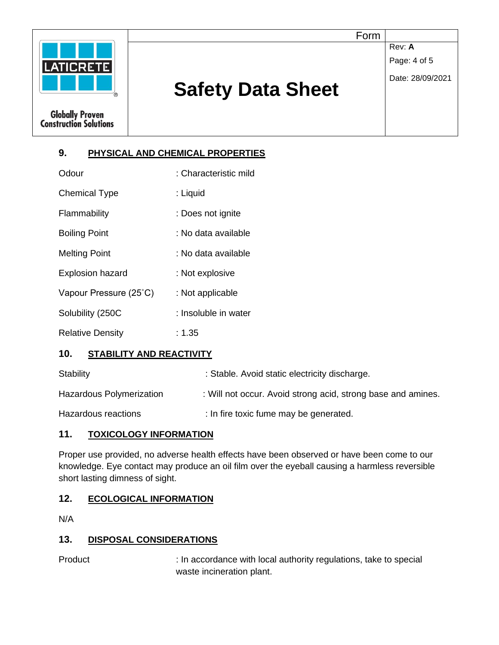

### **9. PHYSICAL AND CHEMICAL PROPERTIES**

| Odour                   | : Characteristic mild |
|-------------------------|-----------------------|
| <b>Chemical Type</b>    | : Liquid              |
| Flammability            | : Does not ignite     |
| <b>Boiling Point</b>    | : No data available   |
| <b>Melting Point</b>    | : No data available   |
| <b>Explosion hazard</b> | : Not explosive       |
| Vapour Pressure (25°C)  | : Not applicable      |
| Solubility (250C        | : Insoluble in water  |
| <b>Relative Density</b> | : 1.35                |

### **10. STABILITY AND REACTIVITY**

| Stability                | : Stable. Avoid static electricity discharge.                |
|--------------------------|--------------------------------------------------------------|
| Hazardous Polymerization | : Will not occur. Avoid strong acid, strong base and amines. |
| Hazardous reactions      | : In fire toxic fume may be generated.                       |

### **11. TOXICOLOGY INFORMATION**

Proper use provided, no adverse health effects have been observed or have been come to our knowledge. Eye contact may produce an oil film over the eyeball causing a harmless reversible short lasting dimness of sight.

### **12. ECOLOGICAL INFORMATION**

N/A

#### **13. DISPOSAL CONSIDERATIONS**

Product : In accordance with local authority regulations, take to special waste incineration plant.